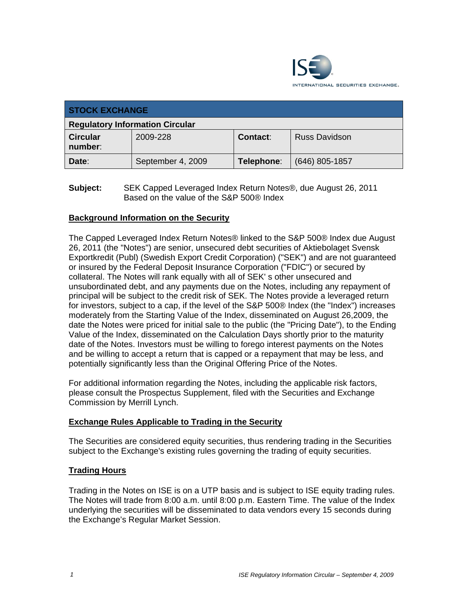

| <b>STOCK EXCHANGE</b>                  |                   |            |                      |  |  |
|----------------------------------------|-------------------|------------|----------------------|--|--|
| <b>Regulatory Information Circular</b> |                   |            |                      |  |  |
| <b>Circular</b><br>number:             | 2009-228          | Contact:   | <b>Russ Davidson</b> |  |  |
| Date:                                  | September 4, 2009 | Telephone: | $(646)$ 805-1857     |  |  |

**Subject:** SEK Capped Leveraged Index Return Notes®, due August 26, 2011 Based on the value of the S&P 500® Index

## **Background Information on the Security**

The Capped Leveraged Index Return Notes® linked to the S&P 500® Index due August 26, 2011 (the "Notes") are senior, unsecured debt securities of Aktiebolaget Svensk Exportkredit (Publ) (Swedish Export Credit Corporation) ("SEK") and are not guaranteed or insured by the Federal Deposit Insurance Corporation ("FDIC") or secured by collateral. The Notes will rank equally with all of SEK' s other unsecured and unsubordinated debt, and any payments due on the Notes, including any repayment of principal will be subject to the credit risk of SEK. The Notes provide a leveraged return for investors, subject to a cap, if the level of the S&P 500® Index (the "Index") increases moderately from the Starting Value of the Index, disseminated on August 26,2009, the date the Notes were priced for initial sale to the public (the "Pricing Date"), to the Ending Value of the Index, disseminated on the Calculation Days shortly prior to the maturity date of the Notes. Investors must be willing to forego interest payments on the Notes and be willing to accept a return that is capped or a repayment that may be less, and potentially significantly less than the Original Offering Price of the Notes.

For additional information regarding the Notes, including the applicable risk factors, please consult the Prospectus Supplement, filed with the Securities and Exchange Commission by Merrill Lynch.

## **Exchange Rules Applicable to Trading in the Security**

The Securities are considered equity securities, thus rendering trading in the Securities subject to the Exchange's existing rules governing the trading of equity securities.

## **Trading Hours**

Trading in the Notes on ISE is on a UTP basis and is subject to ISE equity trading rules. The Notes will trade from 8:00 a.m. until 8:00 p.m. Eastern Time. The value of the Index underlying the securities will be disseminated to data vendors every 15 seconds during the Exchange's Regular Market Session.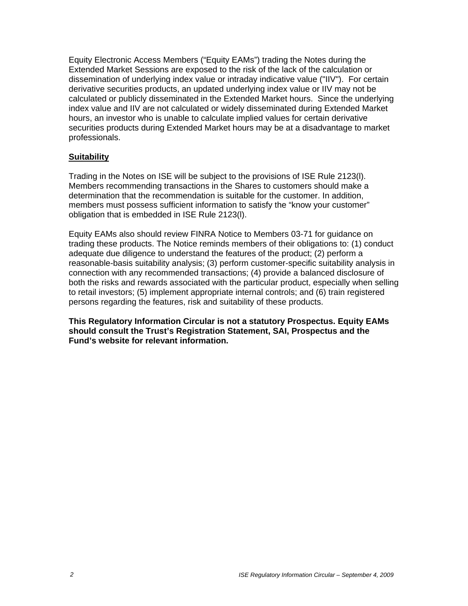Equity Electronic Access Members ("Equity EAMs") trading the Notes during the Extended Market Sessions are exposed to the risk of the lack of the calculation or dissemination of underlying index value or intraday indicative value ("IIV"). For certain derivative securities products, an updated underlying index value or IIV may not be calculated or publicly disseminated in the Extended Market hours. Since the underlying index value and IIV are not calculated or widely disseminated during Extended Market hours, an investor who is unable to calculate implied values for certain derivative securities products during Extended Market hours may be at a disadvantage to market professionals.

## **Suitability**

Trading in the Notes on ISE will be subject to the provisions of ISE Rule 2123(l). Members recommending transactions in the Shares to customers should make a determination that the recommendation is suitable for the customer. In addition, members must possess sufficient information to satisfy the "know your customer" obligation that is embedded in ISE Rule 2123(l).

Equity EAMs also should review FINRA Notice to Members 03-71 for guidance on trading these products. The Notice reminds members of their obligations to: (1) conduct adequate due diligence to understand the features of the product; (2) perform a reasonable-basis suitability analysis; (3) perform customer-specific suitability analysis in connection with any recommended transactions; (4) provide a balanced disclosure of both the risks and rewards associated with the particular product, especially when selling to retail investors; (5) implement appropriate internal controls; and (6) train registered persons regarding the features, risk and suitability of these products.

**This Regulatory Information Circular is not a statutory Prospectus. Equity EAMs should consult the Trust's Registration Statement, SAI, Prospectus and the Fund's website for relevant information.**